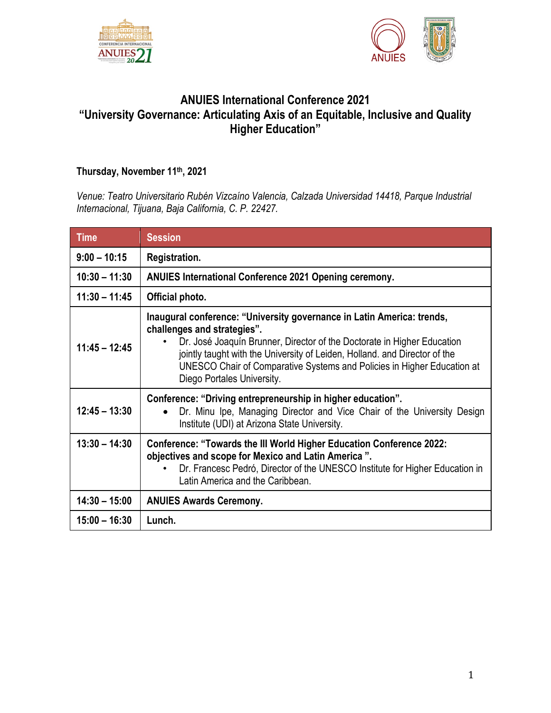



# **ANUIES International Conference 2021 "University Governance: Articulating Axis of an Equitable, Inclusive and Quality Higher Education"**

## **Thursday, November 11th, 2021**

*Venue: Teatro Universitario Rubén Vizcaíno Valencia, Calzada Universidad 14418, Parque Industrial Internacional, Tijuana, Baja California, C. P. 22427.*

| <b>Time</b>     | <b>Session</b>                                                                                                                                                                                                                                                                                                                                                          |
|-----------------|-------------------------------------------------------------------------------------------------------------------------------------------------------------------------------------------------------------------------------------------------------------------------------------------------------------------------------------------------------------------------|
| $9:00 - 10:15$  | Registration.                                                                                                                                                                                                                                                                                                                                                           |
| $10:30 - 11:30$ | ANUIES International Conference 2021 Opening ceremony.                                                                                                                                                                                                                                                                                                                  |
| $11:30 - 11:45$ | Official photo.                                                                                                                                                                                                                                                                                                                                                         |
| $11:45 - 12:45$ | Inaugural conference: "University governance in Latin America: trends,<br>challenges and strategies".<br>Dr. José Joaquín Brunner, Director of the Doctorate in Higher Education<br>jointly taught with the University of Leiden, Holland, and Director of the<br>UNESCO Chair of Comparative Systems and Policies in Higher Education at<br>Diego Portales University. |
| $12:45 - 13:30$ | Conference: "Driving entrepreneurship in higher education".<br>Dr. Minu Ipe, Managing Director and Vice Chair of the University Design<br>Institute (UDI) at Arizona State University.                                                                                                                                                                                  |
| $13:30 - 14:30$ | <b>Conference: "Towards the III World Higher Education Conference 2022:</b><br>objectives and scope for Mexico and Latin America".<br>Dr. Francesc Pedró, Director of the UNESCO Institute for Higher Education in<br>Latin America and the Caribbean.                                                                                                                  |
| $14:30 - 15:00$ | <b>ANUIES Awards Ceremony.</b>                                                                                                                                                                                                                                                                                                                                          |
| $15:00 - 16:30$ | Lunch.                                                                                                                                                                                                                                                                                                                                                                  |